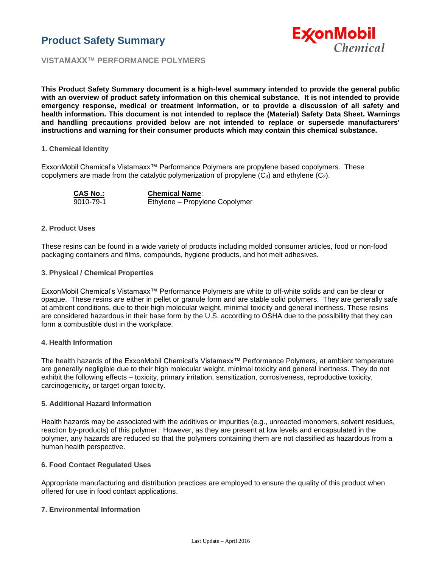



**VISTAMAXX™ PERFORMANCE POLYMERS**

**This Product Safety Summary document is a high-level summary intended to provide the general public with an overview of product safety information on this chemical substance. It is not intended to provide emergency response, medical or treatment information, or to provide a discussion of all safety and health information. This document is not intended to replace the (Material) Safety Data Sheet. Warnings and handling precautions provided below are not intended to replace or supersede manufacturers' instructions and warning for their consumer products which may contain this chemical substance.**

#### **1. Chemical Identity**

ExxonMobil Chemical's Vistamaxx™ Performance Polymers are propylene based copolymers. These copolymers are made from the catalytic polymerization of propylene  $(C_3)$  and ethylene  $(C_2)$ .

**CAS No.:** 9010-79-1 **Chemical Name**: Ethylene – Propylene Copolymer

#### **2. Product Uses**

These resins can be found in a wide variety of products including molded consumer articles, food or non-food packaging containers and films, compounds, hygiene products, and hot melt adhesives.

#### **3. Physical / Chemical Properties**

ExxonMobil Chemical's Vistamaxx™ Performance Polymers are white to off-white solids and can be clear or opaque. These resins are either in pellet or granule form and are stable solid polymers. They are generally safe at ambient conditions, due to their high molecular weight, minimal toxicity and general inertness. These resins are considered hazardous in their base form by the U.S. according to OSHA due to the possibility that they can form a combustible dust in the workplace.

## **4. Health Information**

The health hazards of the ExxonMobil Chemical's Vistamaxx™ Performance Polymers, at ambient temperature are generally negligible due to their high molecular weight, minimal toxicity and general inertness. They do not exhibit the following effects – toxicity, primary irritation, sensitization, corrosiveness, reproductive toxicity, carcinogenicity, or target organ toxicity.

#### **5. Additional Hazard Information**

Health hazards may be associated with the additives or impurities (e.g., unreacted monomers, solvent residues, reaction by-products) of this polymer. However, as they are present at low levels and encapsulated in the polymer, any hazards are reduced so that the polymers containing them are not classified as hazardous from a human health perspective.

## **6. Food Contact Regulated Uses**

Appropriate manufacturing and distribution practices are employed to ensure the quality of this product when offered for use in food contact applications.

## **7. Environmental Information**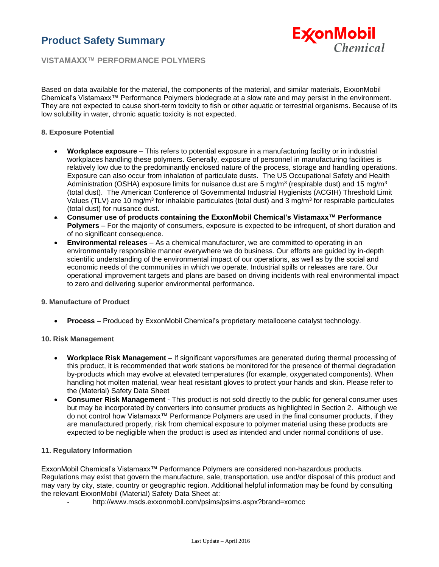# **Product Safety Summary**



**VISTAMAXX™ PERFORMANCE POLYMERS**

Based on data available for the material, the components of the material, and similar materials, ExxonMobil Chemical's Vistamaxx™ Performance Polymers biodegrade at a slow rate and may persist in the environment. They are not expected to cause short-term toxicity to fish or other aquatic or terrestrial organisms. Because of its low solubility in water, chronic aquatic toxicity is not expected.

## **8. Exposure Potential**

- **Workplace exposure** This refers to potential exposure in a manufacturing facility or in industrial workplaces handling these polymers. Generally, exposure of personnel in manufacturing facilities is relatively low due to the predominantly enclosed nature of the process, storage and handling operations. Exposure can also occur from inhalation of particulate dusts. The US Occupational Safety and Health Administration (OSHA) exposure limits for nuisance dust are 5 mg/m<sup>3</sup> (respirable dust) and 15 mg/m<sup>3</sup> (total dust). The American Conference of Governmental Industrial Hygienists (ACGIH) Threshold Limit Values (TLV) are 10 mg/m<sup>3</sup> for inhalable particulates (total dust) and 3 mg/m<sup>3</sup> for respirable particulates (total dust) for nuisance dust.
- **Consumer use of products containing the ExxonMobil Chemical's Vistamaxx™ Performance Polymers** – For the majority of consumers, exposure is expected to be infrequent, of short duration and of no significant consequence.
- **Environmental releases** As a chemical manufacturer, we are committed to operating in an environmentally responsible manner everywhere we do business. Our efforts are guided by in-depth scientific understanding of the environmental impact of our operations, as well as by the social and economic needs of the communities in which we operate. Industrial spills or releases are rare. Our operational improvement targets and plans are based on driving incidents with real environmental impact to zero and delivering superior environmental performance.

#### **9. Manufacture of Product**

**Process** – Produced by ExxonMobil Chemical's proprietary metallocene catalyst technology.

#### **10. Risk Management**

- **Workplace Risk Management** If significant vapors/fumes are generated during thermal processing of this product, it is recommended that work stations be monitored for the presence of thermal degradation by-products which may evolve at elevated temperatures (for example, oxygenated components). When handling hot molten material, wear heat resistant gloves to protect your hands and skin. Please refer to the (Material) Safety Data Sheet
- **Consumer Risk Management** This product is not sold directly to the public for general consumer uses but may be incorporated by converters into consumer products as highlighted in Section 2. Although we do not control how Vistamaxx™ Performance Polymers are used in the final consumer products, if they are manufactured properly, risk from chemical exposure to polymer material using these products are expected to be negligible when the product is used as intended and under normal conditions of use.

## **11. Regulatory Information**

ExxonMobil Chemical's Vistamaxx™ Performance Polymers are considered non-hazardous products. Regulations may exist that govern the manufacture, sale, transportation, use and/or disposal of this product and may vary by city, state, country or geographic region. Additional helpful information may be found by consulting the relevant ExxonMobil (Material) Safety Data Sheet at:

- <http://www.msds.exxonmobil.com/psims/psims.aspx?brand=xomcc>